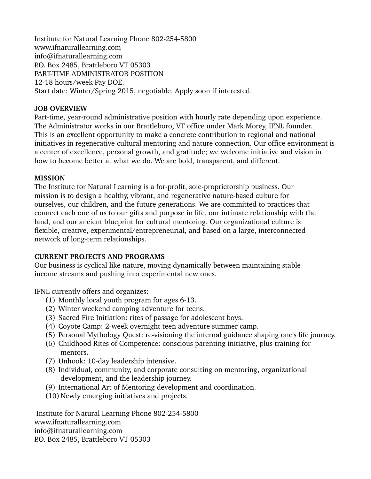Institute for Natural Learning Phone 802-254-5800 www.ifnaturallearning.com info@ifnaturallearning.com P.O. Box 2485, Brattleboro VT 05303 PART-TIME ADMINISTRATOR POSITION 12-18 hours/week Pay DOE. Start date: Winter/Spring 2015, negotiable. Apply soon if interested.

## **JOB OVERVIEW**

Part-time, year-round administrative position with hourly rate depending upon experience. The Administrator works in our Brattleboro, VT office under Mark Morey, IFNL founder. This is an excellent opportunity to make a concrete contribution to regional and national initiatives in regenerative cultural mentoring and nature connection. Our office environment is a center of excellence, personal growth, and gratitude; we welcome initiative and vision in how to become better at what we do. We are bold, transparent, and different.

# **MISSION**

The Institute for Natural Learning is a for-profit, sole-proprietorship business. Our mission is to design a healthy, vibrant, and regenerative nature-based culture for ourselves, our children, and the future generations. We are committed to practices that connect each one of us to our gifts and purpose in life, our intimate relationship with the land, and our ancient blueprint for cultural mentoring. Our organizational culture is flexible, creative, experimental/entrepreneurial, and based on a large, interconnected network of long-term relationships.

# **CURRENT PROJECTS AND PROGRAMS**

Our business is cyclical like nature, moving dynamically between maintaining stable income streams and pushing into experimental new ones.

IFNL currently offers and organizes:

- (1) Monthly local youth program for ages 613.
- (2) Winter weekend camping adventure for teens.
- (3) Sacred Fire Initiation: rites of passage for adolescent boys.
- (4) Coyote Camp: 2-week overnight teen adventure summer camp.
- (5) Personal Mythology Quest: re-visioning the internal guidance shaping one's life journey.
- (6) Childhood Rites of Competence: conscious parenting initiative, plus training for mentors.
- (7) Unhook: 10-day leadership intensive.
- (8) Individual, community, and corporate consulting on mentoring, organizational development, and the leadership journey.
- (9) International Art of Mentoring development and coordination.
- (10) Newly emerging initiatives and projects.

Institute for Natural Learning Phone 802-254-5800 www.ifnaturallearning.com info@ifnaturallearning.com P.O. Box 2485, Brattleboro VT 05303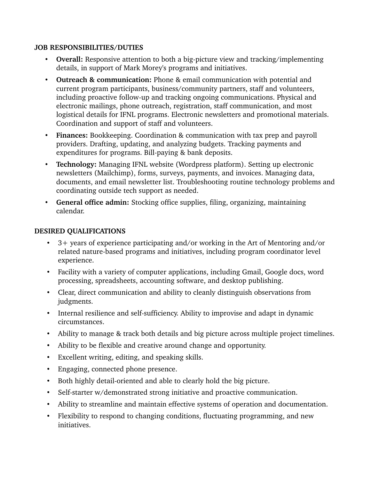### **JOB RESPONSIBILITIES/DUTIES**

- **Overall:** Responsive attention to both a big-picture view and tracking/implementing details, in support of Mark Morey's programs and initiatives.
- **Outreach & communication:** Phone & email communication with potential and current program participants, business/community partners, staff and volunteers, including proactive follow-up and tracking ongoing communications. Physical and electronic mailings, phone outreach, registration, staff communication, and most logistical details for IFNL programs. Electronic newsletters and promotional materials. Coordination and support of staff and volunteers.
- **Finances:** Bookkeeping. Coordination & communication with tax prep and payroll providers. Drafting, updating, and analyzing budgets. Tracking payments and expenditures for programs. Bill-paying & bank deposits.
- **Technology:** Managing IFNL website (Wordpress platform). Setting up electronic newsletters (Mailchimp), forms, surveys, payments, and invoices. Managing data, documents, and email newsletter list. Troubleshooting routine technology problems and coordinating outside tech support as needed.
- **General office admin:** Stocking office supplies, filing, organizing, maintaining calendar.

## **DESIRED QUALIFICATIONS**

- 3+ years of experience participating and/or working in the Art of Mentoring and/or related nature-based programs and initiatives, including program coordinator level experience.
- Facility with a variety of computer applications, including Gmail, Google docs, word processing, spreadsheets, accounting software, and desktop publishing.
- Clear, direct communication and ability to cleanly distinguish observations from judgments.
- Internal resilience and self-sufficiency. Ability to improvise and adapt in dynamic circumstances.
- Ability to manage & track both details and big picture across multiple project timelines.
- Ability to be flexible and creative around change and opportunity.
- Excellent writing, editing, and speaking skills.
- Engaging, connected phone presence.
- Both highly detail-oriented and able to clearly hold the big picture.
- Self-starter w/demonstrated strong initiative and proactive communication.
- Ability to streamline and maintain effective systems of operation and documentation.
- Flexibility to respond to changing conditions, fluctuating programming, and new initiatives.